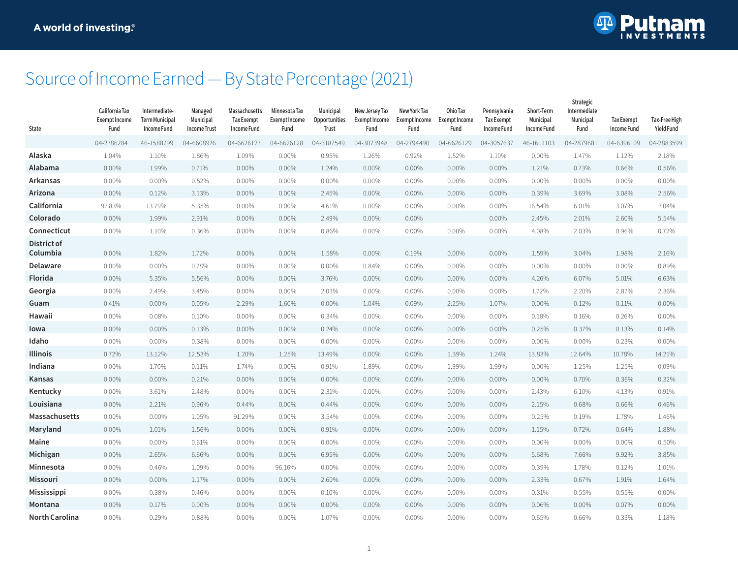

## Source of Income Earned — By State Percentage (2021)

| State                   | California Tax<br><b>Exempt Income</b><br>Fund | Intermediate-<br><b>Term Municipal</b><br>Income Fund | Managed<br>Municipal<br><b>Income Trust</b> | Massachusetts<br><b>Tax Exempt</b><br>Income Fund | Minnesota Tax<br>Exempt Income<br>Fund | Municipal<br>Opportunities<br>Trust | New Jersey Tax<br>Exempt Income<br>Fund | New York Tax<br>Exempt Income<br>Fund | Ohio Tax<br><b>Exempt Income</b><br>Fund | Pennsylvania<br><b>Tax Exempt</b><br>Income Fund | Short-Term<br>Municipal<br>Income Fund | strategic<br>Intermediate<br>Municipal<br>Fund | <b>Tax Exempt</b><br><b>Income Fund</b> | Tax-Free High<br><b>Yield Fund</b> |
|-------------------------|------------------------------------------------|-------------------------------------------------------|---------------------------------------------|---------------------------------------------------|----------------------------------------|-------------------------------------|-----------------------------------------|---------------------------------------|------------------------------------------|--------------------------------------------------|----------------------------------------|------------------------------------------------|-----------------------------------------|------------------------------------|
|                         | 04-2786284                                     | 46-1588799                                            | 04-6608976                                  | 04-6626127                                        | 04-6626128                             | 04-3187549                          | 04-3073948                              | 04-2794490                            | 04-6626129                               | 04-3057637                                       | 46-1611103                             | 04-2879681                                     | 04-6396109                              | 04-2883599                         |
| Alaska                  | 1.04%                                          | 1.10%                                                 | 1.86%                                       | 1.09%                                             | 0.00%                                  | 0.95%                               | 1.26%                                   | 0.92%                                 | 1.52%                                    | 1.10%                                            | $0.00\%$                               | 1.47%                                          | 1.12%                                   | 2.18%                              |
| Alabama                 | 0.00%                                          | 1.99%                                                 | 0.71%                                       | 0.00%                                             | 0.00%                                  | 1.24%                               | 0.00%                                   | 0.00%                                 | $0.00\%$                                 | 0.00%                                            | 1.21%                                  | 0.73%                                          | 0.66%                                   | 0.56%                              |
| Arkansas                | 0.00%                                          | 0.00%                                                 | 0.52%                                       | 0.00%                                             | 0.00%                                  | $0.00\%$                            | 0.00%                                   | 0.00%                                 | $0.00\%$                                 | 0.00%                                            | 0.00%                                  | 0.00%                                          | 0.00%                                   | $0.00\%$                           |
| Arizona                 | 0.00%                                          | 0.12%                                                 | 3.13%                                       | 0.00%                                             | 0.00%                                  | 2.45%                               | 0.00%                                   | 0.00%                                 | 0.00%                                    | 0.00%                                            | 0.39%                                  | 3.69%                                          | 3.08%                                   | 2.56%                              |
| California              | 97.83%                                         | 13.79%                                                | 5.35%                                       | 0.00%                                             | 0.00%                                  | 4.61%                               | 0.00%                                   | 0.00%                                 | 0.00%                                    | 0.00%                                            | 16.54%                                 | 6.01%                                          | 3.07%                                   | 7.04%                              |
| Colorado                | 0.00%                                          | 1.99%                                                 | 2.91%                                       | 0.00%                                             | $0.00\%$                               | 2.49%                               | 0.00%                                   | 0.00%                                 |                                          | $0.00\%$                                         | 2.45%                                  | 2.01%                                          | 2.60%                                   | 5.54%                              |
| Connecticut             | 0.00%                                          | 1.10%                                                 | 0.36%                                       | 0.00%                                             | $0.00\%$                               | 0.86%                               | 0.00%                                   | 0.00%                                 | $0.00\%$                                 | 0.00%                                            | 4.08%                                  | 2.03%                                          | 0.96%                                   | 0.72%                              |
| District of<br>Columbia | 0.00%                                          | 1.82%                                                 | 1.72%                                       | $0.00\%$                                          | 0.00%                                  | 1.58%                               | 0.00%                                   | 0.19%                                 | $0.00\%$                                 | 0.00%                                            | 1.59%                                  | 3.04%                                          | 1.98%                                   | 2.16%                              |
| Delaware                | 0.00%                                          | 0.00%                                                 | 0.78%                                       | $0.00\%$                                          | 0.00%                                  | 0.00%                               | 0.84%                                   | 0.00%                                 | 0.00%                                    | 0.00%                                            | 0.00%                                  | $0.00\%$                                       | 0.00%                                   | 0.89%                              |
| Florida                 | 0.00%                                          | 5.35%                                                 | 5.56%                                       | 0.00%                                             | 0.00%                                  | 3.76%                               | 0.00%                                   | 0.00%                                 | 0.00%                                    | 0.00%                                            | 4.26%                                  | 6.07%                                          | 5.01%                                   | 6.63%                              |
| Georgia                 | 0.00%                                          | 2.49%                                                 | 3.45%                                       | 0.00%                                             | 0.00%                                  | 2.03%                               | 0.00%                                   | 0.00%                                 | 0.00%                                    | 0.00%                                            | 1.72%                                  | 2.20%                                          | 2.87%                                   | 2.36%                              |
| Guam                    | 0.41%                                          | 0.00%                                                 | 0.05%                                       | 2.29%                                             | 1.60%                                  | 0.00%                               | 1.04%                                   | 0.09%                                 | 2.25%                                    | 1.07%                                            | $0.00\%$                               | 0.12%                                          | 0.11%                                   | $0.00\%$                           |
| Hawaii                  | 0.00%                                          | 0.08%                                                 | 0.10%                                       | 0.00%                                             | 0.00%                                  | 0.34%                               | 0.00%                                   | 0.00%                                 | 0.00%                                    | $0.00\%$                                         | 0.18%                                  | 0.16%                                          | 0.26%                                   | 0.00%                              |
| lowa                    | 0.00%                                          | $0.00\%$                                              | 0.13%                                       | $0.00\%$                                          | 0.00%                                  | 0.24%                               | 0.00%                                   | $0.00\%$                              | 0.00%                                    | 0.00%                                            | 0.25%                                  | 0.37%                                          | 0.13%                                   | 0.14%                              |
| Idaho                   | 0.00%                                          | 0.00%                                                 | 0.38%                                       | $0.00\%$                                          | 0.00%                                  | 0.00%                               | 0.00%                                   | 0.00%                                 | 0.00%                                    | 0.00%                                            | 0.00%                                  | 0.00%                                          | 0.23%                                   | 0.00%                              |
| Illinois                | 0.72%                                          | 13.12%                                                | 12.53%                                      | 1.20%                                             | 1.25%                                  | 13.49%                              | 0.00%                                   | 0.00%                                 | 1.39%                                    | 1.24%                                            | 13.83%                                 | 12.64%                                         | 10.78%                                  | 14.21%                             |
| Indiana                 | 0.00%                                          | 1.70%                                                 | 0.11%                                       | 1.74%                                             | 0.00%                                  | 0.91%                               | 1.89%                                   | 0.00%                                 | 1.99%                                    | 1.99%                                            | 0.00%                                  | 1.25%                                          | 1.25%                                   | 0.09%                              |
| Kansas                  | 0.00%                                          | 0.00%                                                 | 0.21%                                       | 0.00%                                             | 0.00%                                  | 0.00%                               | 0.00%                                   | 0.00%                                 | 0.00%                                    | 0.00%                                            | 0.00%                                  | 0.70%                                          | 0.36%                                   | 0.32%                              |
| Kentucky                | 0.00%                                          | 3.61%                                                 | 2.48%                                       | 0.00%                                             | 0.00%                                  | 2.31%                               | 0.00%                                   | 0.00%                                 | 0.00%                                    | 0.00%                                            | 2.43%                                  | 6.10%                                          | 4.13%                                   | 0.91%                              |
| Louisiana               | 0.00%                                          | 2.21%                                                 | 0.96%                                       | 0.44%                                             | 0.00%                                  | 0.44%                               | 0.00%                                   | 0.00%                                 | 0.00%                                    | 0.00%                                            | 2.15%                                  | 0.68%                                          | 0.66%                                   | 0.46%                              |
| Massachusetts           | 0.00%                                          | 0.00%                                                 | 1.05%                                       | 91.29%                                            | 0.00%                                  | 3.54%                               | 0.00%                                   | 0.00%                                 | 0.00%                                    | $0.00\%$                                         | 0.25%                                  | 0.19%                                          | 1.78%                                   | 1.46%                              |
| Maryland                | 0.00%                                          | 1.01%                                                 | 1.56%                                       | 0.00%                                             | $0.00\%$                               | 0.91%                               | 0.00%                                   | $0.00\%$                              | $0.00\%$                                 | $0.00\%$                                         | 1.15%                                  | 0.72%                                          | 0.64%                                   | 1.88%                              |
| Maine                   | 0.00%                                          | 0.00%                                                 | 0.61%                                       | 0.00%                                             | 0.00%                                  | 0.00%                               | 0.00%                                   | 0.00%                                 | 0.00%                                    | 0.00%                                            | 0.00%                                  | 0.00%                                          | 0.00%                                   | 0.50%                              |
| Michigan                | 0.00%                                          | 2.65%                                                 | 6.66%                                       | 0.00%                                             | $0.00\%$                               | 6.95%                               | 0.00%                                   | 0.00%                                 | 0.00%                                    | 0.00%                                            | 5.68%                                  | 7.66%                                          | 9.92%                                   | 3.85%                              |
| Minnesota               | 0.00%                                          | 0.46%                                                 | 1.09%                                       | 0.00%                                             | 96.16%                                 | $0.00\%$                            | 0.00%                                   | 0.00%                                 | 0.00%                                    | $0.00\%$                                         | 0.39%                                  | 1.78%                                          | 0.12%                                   | 1.01%                              |
| Missouri                | 0.00%                                          | 0.00%                                                 | 1.17%                                       | 0.00%                                             | 0.00%                                  | 2.60%                               | 0.00%                                   | $0.00\%$                              | 0.00%                                    | 0.00%                                            | 2.33%                                  | 0.67%                                          | 1.91%                                   | 1.64%                              |
| Mississippi             | 0.00%                                          | 0.38%                                                 | 0.46%                                       | 0.00%                                             | 0.00%                                  | $0.10\%$                            | 0.00%                                   | 0.00%                                 | 0.00%                                    | 0.00%                                            | 0.31%                                  | 0.55%                                          | 0.55%                                   | $0.00\%$                           |
| Montana                 | 0.00%                                          | 0.17%                                                 | 0.00%                                       | 0.00%                                             | 0.00%                                  | $0.00\%$                            | 0.00%                                   | 0.00%                                 | 0.00%                                    | $0.00\%$                                         | 0.06%                                  | 0.00%                                          | 0.07%                                   | $0.00\%$                           |
| <b>North Carolina</b>   | 0.00%                                          | 0.29%                                                 | 0.88%                                       | $0.00\%$                                          | 0.00%                                  | 1.07%                               | $0.00\%$                                | 0.00%                                 | 0.00%                                    | 0.00%                                            | 0.65%                                  | 0.66%                                          | 0.33%                                   | 1.18%                              |